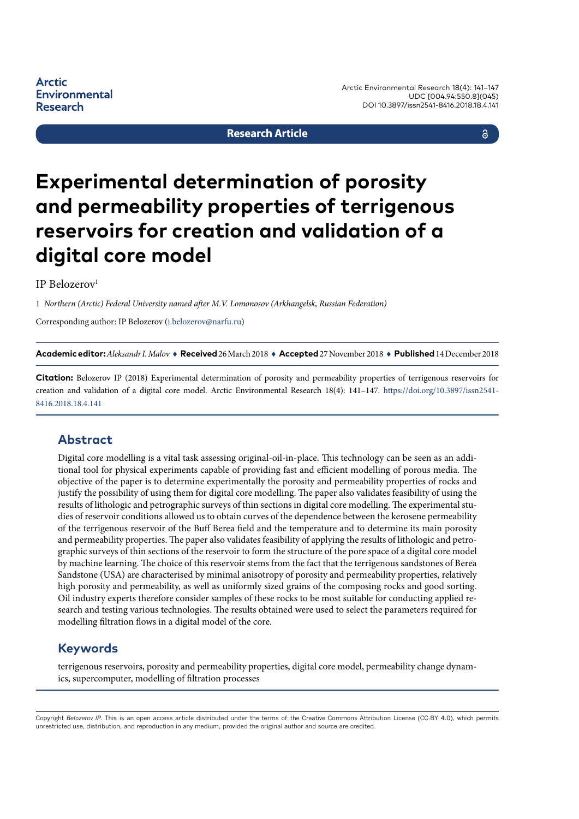**Environmental** 

Arctic Environmental Research 18(4): 141–147 UDC [004.94:550.8](045) DOI 10.3897/issn2541-8416.2018.18.4.141

#### **Research Article**

## a

# **Experimental determination of porosity and permeability properties of terrigenous reservoirs for creation and validation of a digital core model**

#### IP Belozerov1

**Arctic** 

**Research** 

1 *Northern (Arctic) Federal University named after M.V. Lomonosov (Arkhangelsk, Russian Federation)* 

Corresponding author: IP Belozerov ([i.belozerov@narfu.ru](mailto:i.belozerov@narfu.ru))

**Academic editor:***Aleksandr I. Malov* ♦ **Received** 26 March 2018 ♦ **Accepted** 27 November 2018 ♦ **Published** 14 December 2018

**Citation:** Belozerov IP (2018) Experimental determination of porosity and permeability properties of terrigenous reservoirs for creation and validation of a digital core model. Arctic Environmental Research 18(4): 141–147. [https://doi.org/10.3897/issn2541-](https://doi.org/10.3897/issn2541-8416.2018.18.4.141) [8416.2018.18.4.141](https://doi.org/10.3897/issn2541-8416.2018.18.4.141)

### **Abstract**

Digital core modelling is a vital task assessing original-oil-in-place. This technology can be seen as an additional tool for physical experiments capable of providing fast and efficient modelling of porous media. The objective of the paper is to determine experimentally the porosity and permeability properties of rocks and justify the possibility of using them for digital core modelling. The paper also validates feasibility of using the results of lithologic and petrographic surveys of thin sections in digital core modelling. The experimental studies of reservoir conditions allowed us to obtain curves of the dependence between the kerosene permeability of the terrigenous reservoir of the Buff Berea field and the temperature and to determine its main porosity and permeability properties. The paper also validates feasibility of applying the results of lithologic and petrographic surveys of thin sections of the reservoir to form the structure of the pore space of a digital core model by machine learning. The choice of this reservoir stems from the fact that the terrigenous sandstones of Berea Sandstone (USA) are characterised by minimal anisotropy of porosity and permeability properties, relatively high porosity and permeability, as well as uniformly sized grains of the composing rocks and good sorting. Oil industry experts therefore consider samples of these rocks to be most suitable for conducting applied research and testing various technologies. The results obtained were used to select the parameters required for modelling filtration flows in a digital model of the core.

## **Keywords**

terrigenous reservoirs, porosity and permeability properties, digital core model, permeability change dynamics, supercomputer, modelling of filtration processes

Copyright *Belozerov IP.* This is an open access article distributed under the terms of the Creative Commons Attribution License (CC-BY 4.0), which permits unrestricted use, distribution, and reproduction in any medium, provided the original author and source are credited.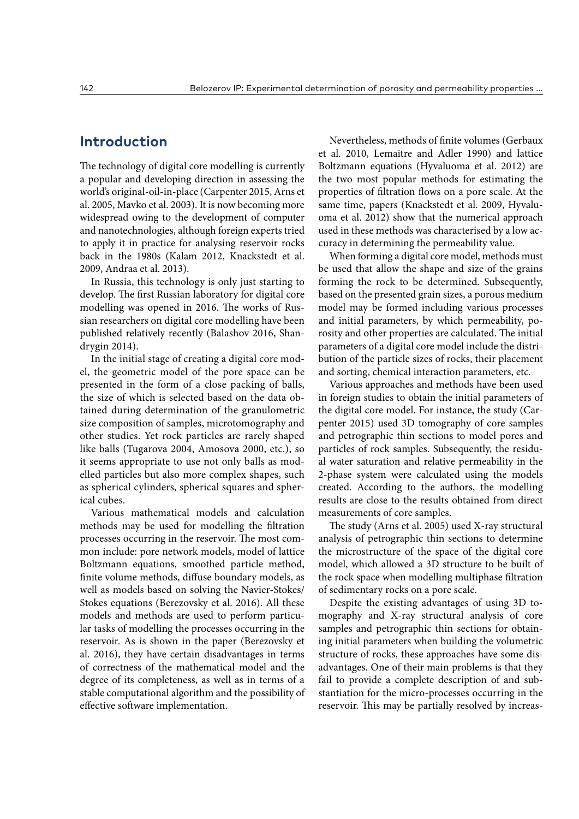## **Introduction**

The technology of digital core modelling is currently a popular and developing direction in assessing the world's original-oil-in-place (Carpenter 2015, Arns et al. 2005, Mavko et al. 2003). It is now becoming more widespread owing to the development of computer and nanotechnologies, although foreign experts tried to apply it in practice for analysing reservoir rocks back in the 1980s (Kalam 2012, Knackstedt et al. 2009, Andraa et al. 2013).

In Russia, this technology is only just starting to develop. The first Russian laboratory for digital core modelling was opened in 2016. The works of Russian researchers on digital core modelling have been published relatively recently (Balashov 2016, Shandrygin 2014).

In the initial stage of creating a digital core model, the geometric model of the pore space can be presented in the form of a close packing of balls, the size of which is selected based on the data obtained during determination of the granulometric size composition of samples, microtomography and other studies. Yet rock particles are rarely shaped like balls (Tugarova 2004, Amosova 2000, etc.), so it seems appropriate to use not only balls as modelled particles but also more complex shapes, such as spherical cylinders, spherical squares and spherical cubes.

Various mathematical models and calculation methods may be used for modelling the filtration processes occurring in the reservoir. The most common include: pore network models, model of lattice Boltzmann equations, smoothed particle method, finite volume methods, diffuse boundary models, as well as models based on solving the Navier-Stokes/ Stokes equations (Berezovsky et al. 2016). All these models and methods are used to perform particular tasks of modelling the processes occurring in the reservoir. As is shown in the paper (Berezovsky et al. 2016), they have certain disadvantages in terms of correctness of the mathematical model and the degree of its completeness, as well as in terms of a stable computational algorithm and the possibility of effective software implementation.

Nevertheless, methods of finite volumes (Gerbaux et al. 2010, Lemaitre and Adler 1990) and lattice Boltzmann equations (Hyvaluoma et al. 2012) are the two most popular methods for estimating the properties of filtration flows on a pore scale. At the same time, papers (Knackstedt et al. 2009, Hyvaluoma et al. 2012) show that the numerical approach used in these methods was characterised by a low accuracy in determining the permeability value.

When forming a digital core model, methods must be used that allow the shape and size of the grains forming the rock to be determined. Subsequently, based on the presented grain sizes, a porous medium model may be formed including various processes and initial parameters, by which permeability, porosity and other properties are calculated. The initial parameters of a digital core model include the distribution of the particle sizes of rocks, their placement and sorting, chemical interaction parameters, etc.

Various approaches and methods have been used in foreign studies to obtain the initial parameters of the digital core model. For instance, the study (Carpenter 2015) used 3D tomography of core samples and petrographic thin sections to model pores and particles of rock samples. Subsequently, the residual water saturation and relative permeability in the 2-phase system were calculated using the models created. According to the authors, the modelling results are close to the results obtained from direct measurements of core samples.

The study (Arns et al. 2005) used X-ray structural analysis of petrographic thin sections to determine the microstructure of the space of the digital core model, which allowed a 3D structure to be built of the rock space when modelling multiphase filtration of sedimentary rocks on a pore scale.

Despite the existing advantages of using 3D tomography and X-ray structural analysis of core samples and petrographic thin sections for obtaining initial parameters when building the volumetric structure of rocks, these approaches have some disadvantages. One of their main problems is that they fail to provide a complete description of and substantiation for the micro-processes occurring in the reservoir. This may be partially resolved by increas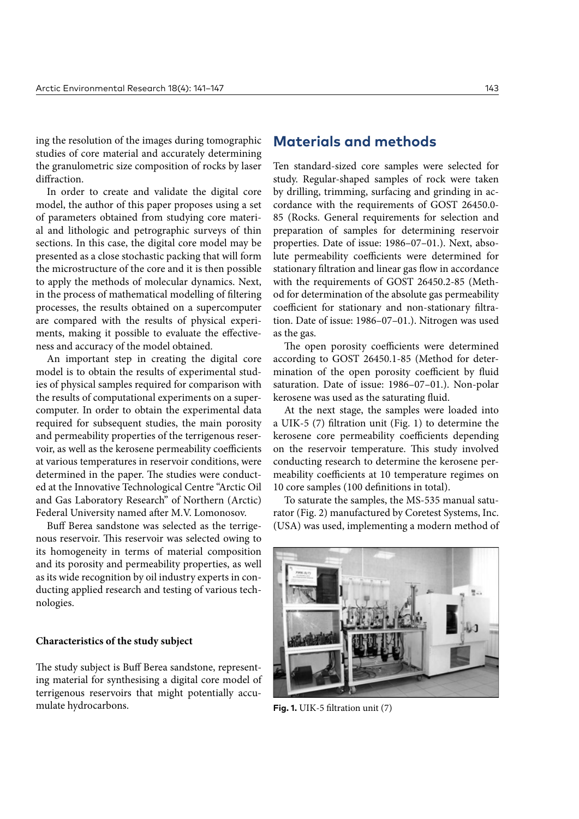ing the resolution of the images during tomographic studies of core material and accurately determining the granulometric size composition of rocks by laser diffraction.

In order to create and validate the digital core model, the author of this paper proposes using a set of parameters obtained from studying core material and lithologic and petrographic surveys of thin sections. In this case, the digital core model may be presented as a close stochastic packing that will form the microstructure of the core and it is then possible to apply the methods of molecular dynamics. Next, in the process of mathematical modelling of filtering processes, the results obtained on a supercomputer are compared with the results of physical experiments, making it possible to evaluate the effectiveness and accuracy of the model obtained.

An important step in creating the digital core model is to obtain the results of experimental studies of physical samples required for comparison with the results of computational experiments on a supercomputer. In order to obtain the experimental data required for subsequent studies, the main porosity and permeability properties of the terrigenous reservoir, as well as the kerosene permeability coefficients at various temperatures in reservoir conditions, were determined in the paper. The studies were conducted at the Innovative Technological Centre "Arctic Oil and Gas Laboratory Research" of Northern (Arctic) Federal University named after M.V. Lomonosov.

Buff Berea sandstone was selected as the terrigenous reservoir. This reservoir was selected owing to its homogeneity in terms of material composition and its porosity and permeability properties, as well as its wide recognition by oil industry experts in conducting applied research and testing of various technologies.

#### **Characteristics of the study subject**

The study subject is Buff Berea sandstone, representing material for synthesising a digital core model of terrigenous reservoirs that might potentially accumulate hydrocarbons.

## **Materials and methods**

Ten standard-sized core samples were selected for study. Regular-shaped samples of rock were taken by drilling, trimming, surfacing and grinding in accordance with the requirements of GOST 26450.0- 85 (Rocks. General requirements for selection and preparation of samples for determining reservoir properties. Date of issue: 1986–07–01.). Next, absolute permeability coefficients were determined for stationary filtration and linear gas flow in accordance with the requirements of GOST 26450.2-85 (Method for determination of the absolute gas permeability coefficient for stationary and non-stationary filtration. Date of issue: 1986–07–01.). Nitrogen was used as the gas.

The open porosity coefficients were determined according to GOST 26450.1-85 (Method for determination of the open porosity coefficient by fluid saturation. Date of issue: 1986–07–01.). Non-polar kerosene was used as the saturating fluid.

At the next stage, the samples were loaded into a UIK-5 (7) filtration unit (Fig. 1) to determine the kerosene core permeability coefficients depending on the reservoir temperature. This study involved conducting research to determine the kerosene permeability coefficients at 10 temperature regimes on 10 core samples (100 definitions in total).

To saturate the samples, the MS-535 manual saturator (Fig. 2) manufactured by Coretest Systems, Inc. (USA) was used, implementing a modern method of



**Fig. 1.** UIK-5 filtration unit (7)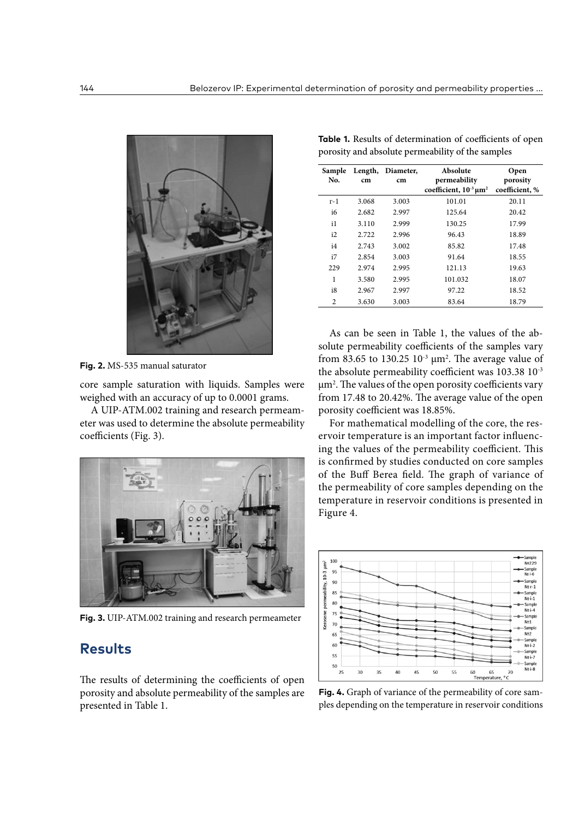

**Fig. 2.** MS-535 manual saturator

core sample saturation with liquids. Samples were weighed with an accuracy of up to 0.0001 grams.

A UIP-ATM.002 training and research permeameter was used to determine the absolute permeability coefficients (Fig. 3).



**Fig. 3.** UIP-ATM.002 training and research permeameter

## **Results**

The results of determining the coefficients of open porosity and absolute permeability of the samples are presented in Table 1.

| Sample<br>No.  | cm    | Length, Diameter,<br>cm | Absolute<br>permeability<br>coefficient, $10^{-3} \mu m^2$ | Open<br>porosity<br>coefficient, % |
|----------------|-------|-------------------------|------------------------------------------------------------|------------------------------------|
| $r-1$          | 3.068 | 3.003                   | 101.01                                                     | 20.11                              |
| i6             | 2.682 | 2.997                   | 125.64                                                     | 20.42                              |
| i1             | 3.110 | 2.999                   | 130.25                                                     | 17.99                              |
| i2             | 2.722 | 2.996                   | 96.43                                                      | 18.89                              |
| i4             | 2.743 | 3.002                   | 85.82                                                      | 17.48                              |
| i7             | 2.854 | 3.003                   | 91.64                                                      | 18.55                              |
| 229            | 2.974 | 2.995                   | 121.13                                                     | 19.63                              |
| 1              | 3.580 | 2.995                   | 101.032                                                    | 18.07                              |
| i8             | 2.967 | 2.997                   | 97.22                                                      | 18.52                              |
| $\overline{c}$ | 3.630 | 3.003                   | 83.64                                                      | 18.79                              |

**Table 1.** Results of determination of coefficients of open

porosity and absolute permeability of the samples

As can be seen in Table 1, the values of the absolute permeability coefficients of the samples vary from 83.65 to 130.25  $10^{-3}$   $\mu$ m<sup>2</sup>. The average value of the absolute permeability coefficient was 103.38 10<sup>-3</sup> μm2 . The values of the open porosity coefficients vary from 17.48 to 20.42%. The average value of the open porosity coefficient was 18.85%.

For mathematical modelling of the core, the reservoir temperature is an important factor influencing the values of the permeability coefficient. This is confirmed by studies conducted on core samples of the Buff Berea field. The graph of variance of the permeability of core samples depending on the temperature in reservoir conditions is presented in Figure 4.



**Fig. 4.** Graph of variance of the permeability of core samples depending on the temperature in reservoir conditions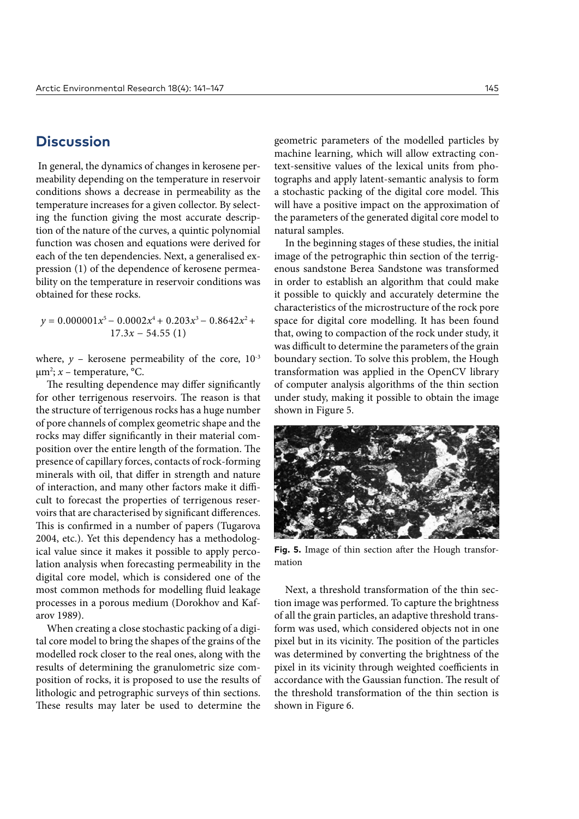## **Discussion**

 In general, the dynamics of changes in kerosene permeability depending on the temperature in reservoir conditions shows a decrease in permeability as the temperature increases for a given collector. By selecting the function giving the most accurate description of the nature of the curves, a quintic polynomial function was chosen and equations were derived for each of the ten dependencies. Next, a generalised expression (1) of the dependence of kerosene permeability on the temperature in reservoir conditions was obtained for these rocks.

 $y = 0.000001x^{5} - 0.0002x^{4} + 0.203x^{3} - 0.8642x^{2} +$ 17.3*x* − 54.55 (1)

where,  $y$  – kerosene permeability of the core,  $10^{-3}$ µm2 ; *х* – temperature, °С.

The resulting dependence may differ significantly for other terrigenous reservoirs. The reason is that the structure of terrigenous rocks has a huge number of pore channels of complex geometric shape and the rocks may differ significantly in their material composition over the entire length of the formation. The presence of capillary forces, contacts of rock-forming minerals with oil, that differ in strength and nature of interaction, and many other factors make it difficult to forecast the properties of terrigenous reservoirs that are characterised by significant differences. This is confirmed in a number of papers (Tugarova 2004, etc.). Yet this dependency has a methodological value since it makes it possible to apply percolation analysis when forecasting permeability in the digital core model, which is considered one of the most common methods for modelling fluid leakage processes in a porous medium (Dorokhov and Kafarov 1989).

When creating a close stochastic packing of a digital core model to bring the shapes of the grains of the modelled rock closer to the real ones, along with the results of determining the granulometric size composition of rocks, it is proposed to use the results of lithologic and petrographic surveys of thin sections. These results may later be used to determine the geometric parameters of the modelled particles by machine learning, which will allow extracting context-sensitive values of the lexical units from photographs and apply latent-semantic analysis to form a stochastic packing of the digital core model. This will have a positive impact on the approximation of the parameters of the generated digital core model to natural samples.

In the beginning stages of these studies, the initial image of the petrographic thin section of the terrigenous sandstone Berea Sandstone was transformed in order to establish an algorithm that could make it possible to quickly and accurately determine the characteristics of the microstructure of the rock pore space for digital core modelling. It has been found that, owing to compaction of the rock under study, it was difficult to determine the parameters of the grain boundary section. To solve this problem, the Hough transformation was applied in the OpenCV library of computer analysis algorithms of the thin section under study, making it possible to obtain the image shown in Figure 5.



**Fig. 5.** Image of thin section after the Hough transformation

Next, a threshold transformation of the thin section image was performed. To capture the brightness of all the grain particles, an adaptive threshold transform was used, which considered objects not in one pixel but in its vicinity. The position of the particles was determined by converting the brightness of the pixel in its vicinity through weighted coefficients in accordance with the Gaussian function. The result of the threshold transformation of the thin section is shown in Figure 6.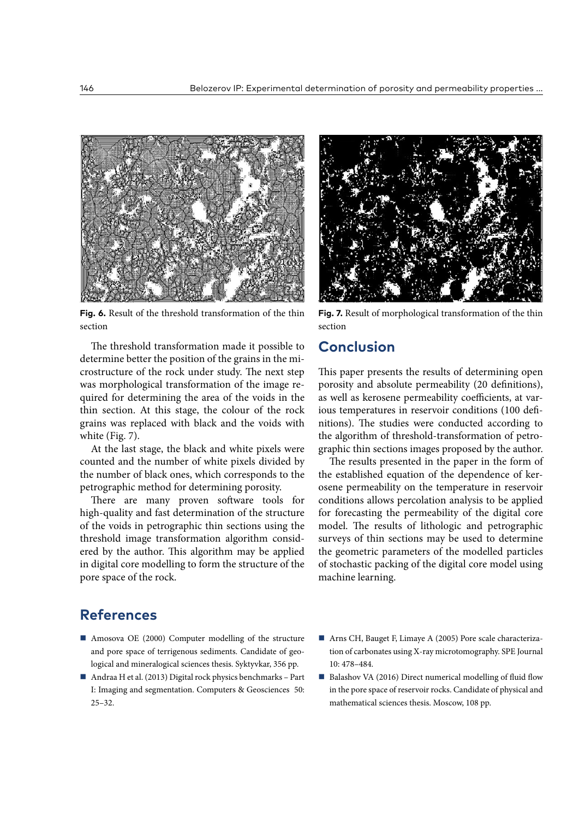

**Fig. 6.** Result of the threshold transformation of the thin section

The threshold transformation made it possible to determine better the position of the grains in the microstructure of the rock under study. The next step was morphological transformation of the image required for determining the area of the voids in the thin section. At this stage, the colour of the rock grains was replaced with black and the voids with white (Fig. 7).

At the last stage, the black and white pixels were counted and the number of white pixels divided by the number of black ones, which corresponds to the petrographic method for determining porosity.

There are many proven software tools for high-quality and fast determination of the structure of the voids in petrographic thin sections using the threshold image transformation algorithm considered by the author. This algorithm may be applied in digital core modelling to form the structure of the pore space of the rock.



**Fig. 7.** Result of morphological transformation of the thin section

# **Conclusion**

This paper presents the results of determining open porosity and absolute permeability (20 definitions), as well as kerosene permeability coefficients, at various temperatures in reservoir conditions (100 definitions). The studies were conducted according to the algorithm of threshold-transformation of petrographic thin sections images proposed by the author.

The results presented in the paper in the form of the established equation of the dependence of kerosene permeability on the temperature in reservoir conditions allows percolation analysis to be applied for forecasting the permeability of the digital core model. The results of lithologic and petrographic surveys of thin sections may be used to determine the geometric parameters of the modelled particles of stochastic packing of the digital core model using machine learning.

# **References**

- Amosova OE (2000) Computer modelling of the structure and pore space of terrigenous sediments. Candidate of geological and mineralogical sciences thesis. Syktyvkar, 356 pp.
- Andraa H et al. (2013) Digital rock physics benchmarks Part I: Imaging and segmentation. Computers & Geosciences 50: 25–32.
- Arns CH, Bauget F, Limaye A (2005) Pore scale characterization of carbonates using X-ray microtomography. SPE Journal 10: 478–484.
- $\blacksquare$  Balashov VA (2016) Direct numerical modelling of fluid flow in the pore space of reservoir rocks. Candidate of physical and mathematical sciences thesis. Moscow, 108 pp.